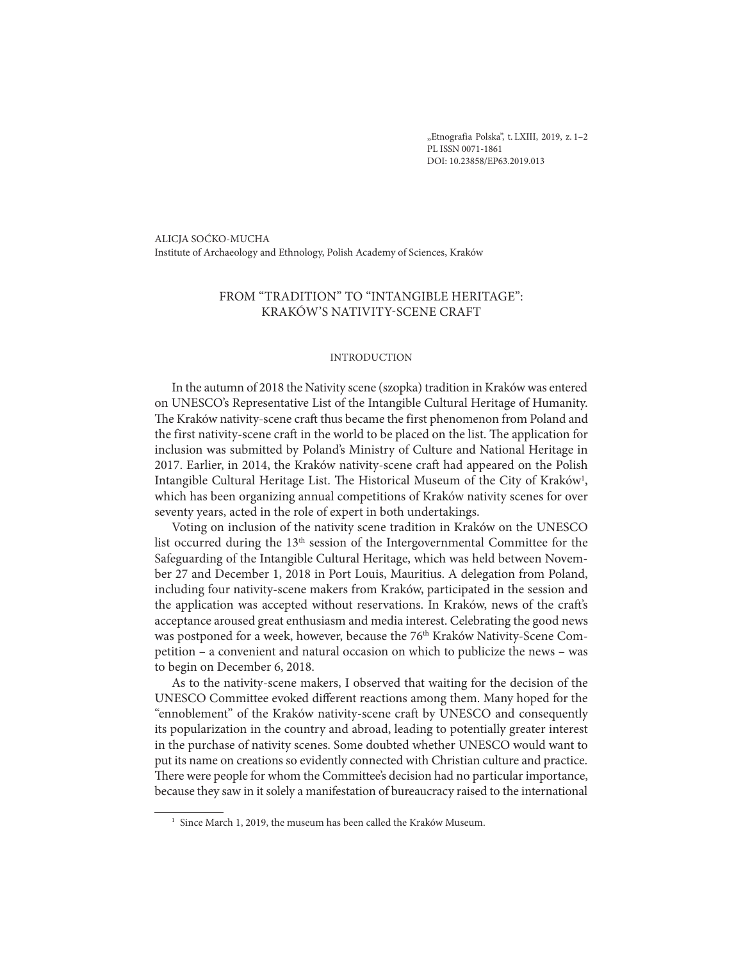"Etnografia Polska", t. LXIII, 2019, z. 1-2 PL ISSN 0071-1861 DOI: 10.23858/EP63.2019.013

ALICJA SOĆKO-MUCHA Institute of Archaeology and Ethnology, Polish Academy of Sciences, Kraków

# FROM "TRADITION" TO "INTANGIBLE HERITAGE": KRAKÓW'S NATIVITY-SCENE CRAFT

#### INTRODUCTION

In the autumn of 2018 the Nativity scene (szopka) tradition in Kraków was entered on UNESCO's Representative List of the Intangible Cultural Heritage of Humanity. The Kraków nativity-scene craft thus became the first phenomenon from Poland and the first nativity-scene craft in the world to be placed on the list. The application for inclusion was submitted by Poland's Ministry of Culture and National Heritage in 2017. Earlier, in 2014, the Kraków nativity-scene craft had appeared on the Polish Intangible Cultural Heritage List. The Historical Museum of the City of Kraków<sup>1</sup>, which has been organizing annual competitions of Kraków nativity scenes for over seventy years, acted in the role of expert in both undertakings.

Voting on inclusion of the nativity scene tradition in Kraków on the UNESCO list occurred during the 13th session of the Intergovernmental Committee for the Safeguarding of the Intangible Cultural Heritage, which was held between November 27 and December 1, 2018 in Port Louis, Mauritius. A delegation from Poland, including four nativity-scene makers from Kraków, participated in the session and the application was accepted without reservations. In Kraków, news of the craft's acceptance aroused great enthusiasm and media interest. Celebrating the good news was postponed for a week, however, because the 76<sup>th</sup> Kraków Nativity-Scene Competition – a convenient and natural occasion on which to publicize the news – was to begin on December 6, 2018.

As to the nativity-scene makers, I observed that waiting for the decision of the UNESCO Committee evoked different reactions among them. Many hoped for the "ennoblement" of the Kraków nativity-scene craft by UNESCO and consequently its popularization in the country and abroad, leading to potentially greater interest in the purchase of nativity scenes. Some doubted whether UNESCO would want to put its name on creations so evidently connected with Christian culture and practice. There were people for whom the Committee's decision had no particular importance, because they saw in it solely a manifestation of bureaucracy raised to the international

<sup>&</sup>lt;sup>1</sup> Since March 1, 2019, the museum has been called the Kraków Museum.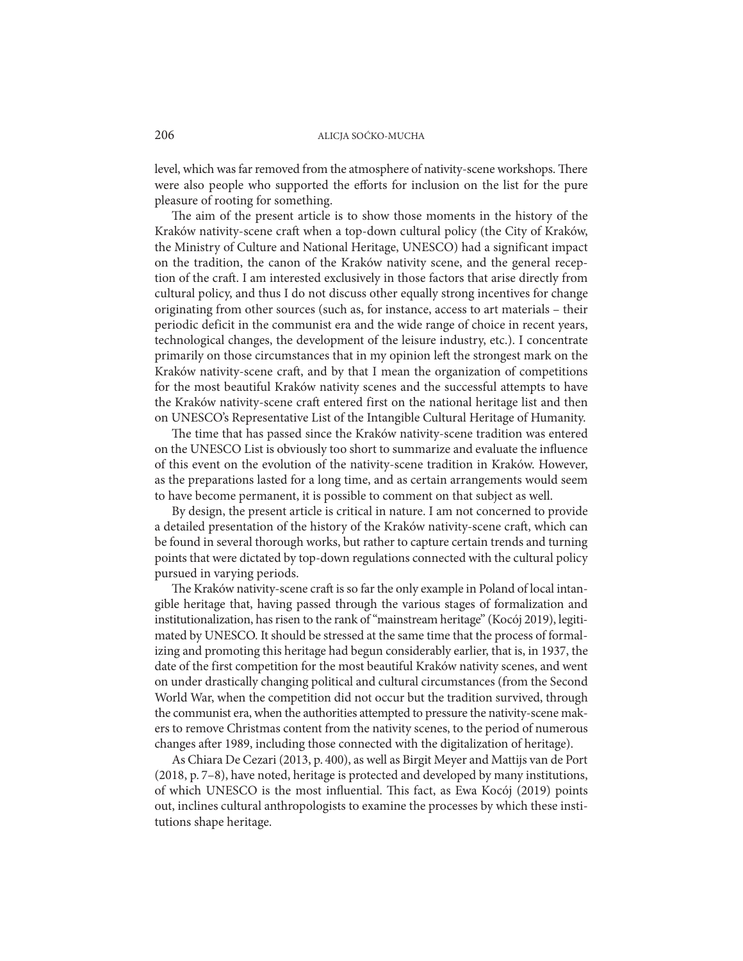level, which was far removed from the atmosphere of nativity-scene workshops. There were also people who supported the efforts for inclusion on the list for the pure pleasure of rooting for something.

The aim of the present article is to show those moments in the history of the Kraków nativity-scene craft when a top-down cultural policy (the City of Kraków, the Ministry of Culture and National Heritage, UNESCO) had a significant impact on the tradition, the canon of the Kraków nativity scene, and the general reception of the craft. I am interested exclusively in those factors that arise directly from cultural policy, and thus I do not discuss other equally strong incentives for change originating from other sources (such as, for instance, access to art materials – their periodic deficit in the communist era and the wide range of choice in recent years, technological changes, the development of the leisure industry, etc.). I concentrate primarily on those circumstances that in my opinion left the strongest mark on the Kraków nativity-scene craft, and by that I mean the organization of competitions for the most beautiful Kraków nativity scenes and the successful attempts to have the Kraków nativity-scene craft entered first on the national heritage list and then on UNESCO's Representative List of the Intangible Cultural Heritage of Humanity.

The time that has passed since the Kraków nativity-scene tradition was entered on the UNESCO List is obviously too short to summarize and evaluate the influence of this event on the evolution of the nativity-scene tradition in Kraków. However, as the preparations lasted for a long time, and as certain arrangements would seem to have become permanent, it is possible to comment on that subject as well.

By design, the present article is critical in nature. I am not concerned to provide a detailed presentation of the history of the Kraków nativity-scene craft, which can be found in several thorough works, but rather to capture certain trends and turning points that were dictated by top-down regulations connected with the cultural policy pursued in varying periods.

The Kraków nativity-scene craft is so far the only example in Poland of local intangible heritage that, having passed through the various stages of formalization and institutionalization, has risen to the rank of "mainstream heritage" (Kocój 2019), legitimated by UNESCO. It should be stressed at the same time that the process of formalizing and promoting this heritage had begun considerably earlier, that is, in 1937, the date of the first competition for the most beautiful Kraków nativity scenes, and went on under drastically changing political and cultural circumstances (from the Second World War, when the competition did not occur but the tradition survived, through the communist era, when the authorities attempted to pressure the nativity-scene makers to remove Christmas content from the nativity scenes, to the period of numerous changes after 1989, including those connected with the digitalization of heritage).

As Chiara De Cezari (2013, p. 400), as well as Birgit Meyer and Mattijs van de Port (2018, p. 7–8), have noted, heritage is protected and developed by many institutions, of which UNESCO is the most influential. This fact, as Ewa Kocój (2019) points out, inclines cultural anthropologists to examine the processes by which these institutions shape heritage.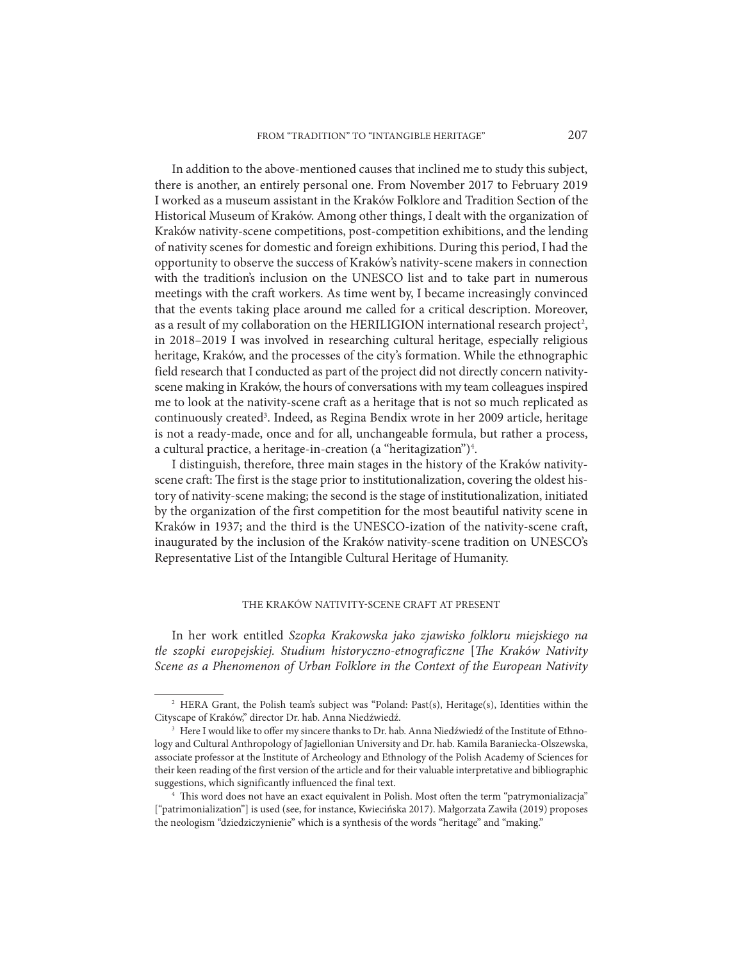In addition to the above-mentioned causes that inclined me to study this subject, there is another, an entirely personal one. From November 2017 to February 2019 I worked as a museum assistant in the Kraków Folklore and Tradition Section of the Historical Museum of Kraków. Among other things, I dealt with the organization of Kraków nativity-scene competitions, post-competition exhibitions, and the lending of nativity scenes for domestic and foreign exhibitions. During this period, I had the opportunity to observe the success of Kraków's nativity-scene makers in connection with the tradition's inclusion on the UNESCO list and to take part in numerous meetings with the craft workers. As time went by, I became increasingly convinced that the events taking place around me called for a critical description. Moreover, as a result of my collaboration on the HERILIGION international research project<sup>2</sup>, in 2018–2019 I was involved in researching cultural heritage, especially religious heritage, Kraków, and the processes of the city's formation. While the ethnographic field research that I conducted as part of the project did not directly concern nativityscene making in Kraków, the hours of conversations with my team colleagues inspired me to look at the nativity-scene craft as a heritage that is not so much replicated as continuously created<sup>3</sup>. Indeed, as Regina Bendix wrote in her 2009 article, heritage is not a ready-made, once and for all, unchangeable formula, but rather a process, a cultural practice, a heritage-in-creation (a "heritagization")<sup>4</sup>.

I distinguish, therefore, three main stages in the history of the Kraków nativityscene craft: The first is the stage prior to institutionalization, covering the oldest history of nativity-scene making; the second is the stage of institutionalization, initiated by the organization of the first competition for the most beautiful nativity scene in Kraków in 1937; and the third is the UNESCO-ization of the nativity-scene craft, inaugurated by the inclusion of the Kraków nativity-scene tradition on UNESCO's Representative List of the Intangible Cultural Heritage of Humanity.

# THE KRAKÓW NATIVITY-SCENE CRAFT AT PRESENT

In her work entitled *Szopka Krakowska jako zjawisko folkloru miejskiego na tle szopki europejskiej. Studium historyczno-etnograficzne* [*The Kraków Nativity Scene as a Phenomenon of Urban Folklore in the Context of the European Nativity* 

<sup>2</sup> HERA Grant, the Polish team's subject was "Poland: Past(s), Heritage(s), Identities within the Cityscape of Kraków," director Dr. hab. Anna Niedźwiedź.

<sup>3</sup> Here I would like to offer my sincere thanks to Dr. hab. Anna Niedźwiedź of the Institute of Ethnology and Cultural Anthropology of Jagiellonian University and Dr. hab. Kamila Baraniecka-Olszewska, associate professor at the Institute of Archeology and Ethnology of the Polish Academy of Sciences for their keen reading of the first version of the article and for their valuable interpretative and bibliographic suggestions, which significantly influenced the final text.

<sup>4</sup> This word does not have an exact equivalent in Polish. Most often the term "patrymonializacja" ["patrimonialization"] is used (see, for instance, Kwiecińska 2017). Małgorzata Zawiła (2019) proposes the neologism "dziedziczynienie" which is a synthesis of the words "heritage" and "making."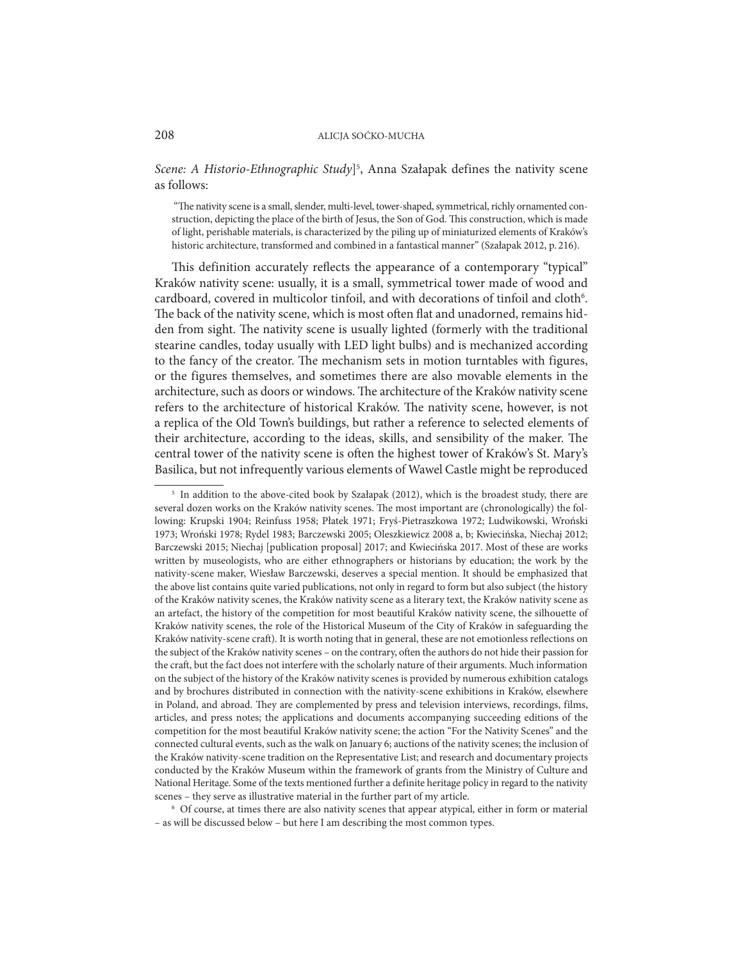Scene: A Historio-Ethnographic Study<sup>[5</sup>, Anna Szałapak defines the nativity scene as follows:

 "The nativity scene is a small, slender, multi-level, tower-shaped, symmetrical, richly ornamented construction, depicting the place of the birth of Jesus, the Son of God. This construction, which is made of light, perishable materials, is characterized by the piling up of miniaturized elements of Kraków's historic architecture, transformed and combined in a fantastical manner" (Szałapak 2012, p. 216).

This definition accurately reflects the appearance of a contemporary "typical" Kraków nativity scene: usually, it is a small, symmetrical tower made of wood and cardboard, covered in multicolor tinfoil, and with decorations of tinfoil and cloth<sup>6</sup>. The back of the nativity scene, which is most often flat and unadorned, remains hidden from sight. The nativity scene is usually lighted (formerly with the traditional stearine candles, today usually with LED light bulbs) and is mechanized according to the fancy of the creator. The mechanism sets in motion turntables with figures, or the figures themselves, and sometimes there are also movable elements in the architecture, such as doors or windows. The architecture of the Kraków nativity scene refers to the architecture of historical Kraków. The nativity scene, however, is not a replica of the Old Town's buildings, but rather a reference to selected elements of their architecture, according to the ideas, skills, and sensibility of the maker. The central tower of the nativity scene is often the highest tower of Kraków's St. Mary's Basilica, but not infrequently various elements of Wawel Castle might be reproduced

<sup>6</sup> Of course, at times there are also nativity scenes that appear atypical, either in form or material – as will be discussed below – but here I am describing the most common types.

<sup>&</sup>lt;sup>5</sup> In addition to the above-cited book by Szałapak (2012), which is the broadest study, there are several dozen works on the Kraków nativity scenes. The most important are (chronologically) the following: Krupski 1904; Reinfuss 1958; Płatek 1971; Fryś-Pietraszkowa 1972; Ludwikowski, Wroński 1973; Wroński 1978; Rydel 1983; Barczewski 2005; Oleszkiewicz 2008 a, b; Kwiecińska, Niechaj 2012; Barczewski 2015; Niechaj [publication proposal] 2017; and Kwiecińska 2017. Most of these are works written by museologists, who are either ethnographers or historians by education; the work by the nativity-scene maker, Wiesław Barczewski, deserves a special mention. It should be emphasized that the above list contains quite varied publications, not only in regard to form but also subject (the history of the Kraków nativity scenes, the Kraków nativity scene as a literary text, the Kraków nativity scene as an artefact, the history of the competition for most beautiful Kraków nativity scene, the silhouette of Kraków nativity scenes, the role of the Historical Museum of the City of Kraków in safeguarding the Kraków nativity-scene craft). It is worth noting that in general, these are not emotionless reflections on the subject of the Kraków nativity scenes – on the contrary, often the authors do not hide their passion for the craft, but the fact does not interfere with the scholarly nature of their arguments. Much information on the subject of the history of the Kraków nativity scenes is provided by numerous exhibition catalogs and by brochures distributed in connection with the nativity-scene exhibitions in Kraków, elsewhere in Poland, and abroad. They are complemented by press and television interviews, recordings, films, articles, and press notes; the applications and documents accompanying succeeding editions of the competition for the most beautiful Kraków nativity scene; the action "For the Nativity Scenes" and the connected cultural events, such as the walk on January 6; auctions of the nativity scenes; the inclusion of the Kraków nativity-scene tradition on the Representative List; and research and documentary projects conducted by the Kraków Museum within the framework of grants from the Ministry of Culture and National Heritage. Some of the texts mentioned further a definite heritage policy in regard to the nativity scenes – they serve as illustrative material in the further part of my article.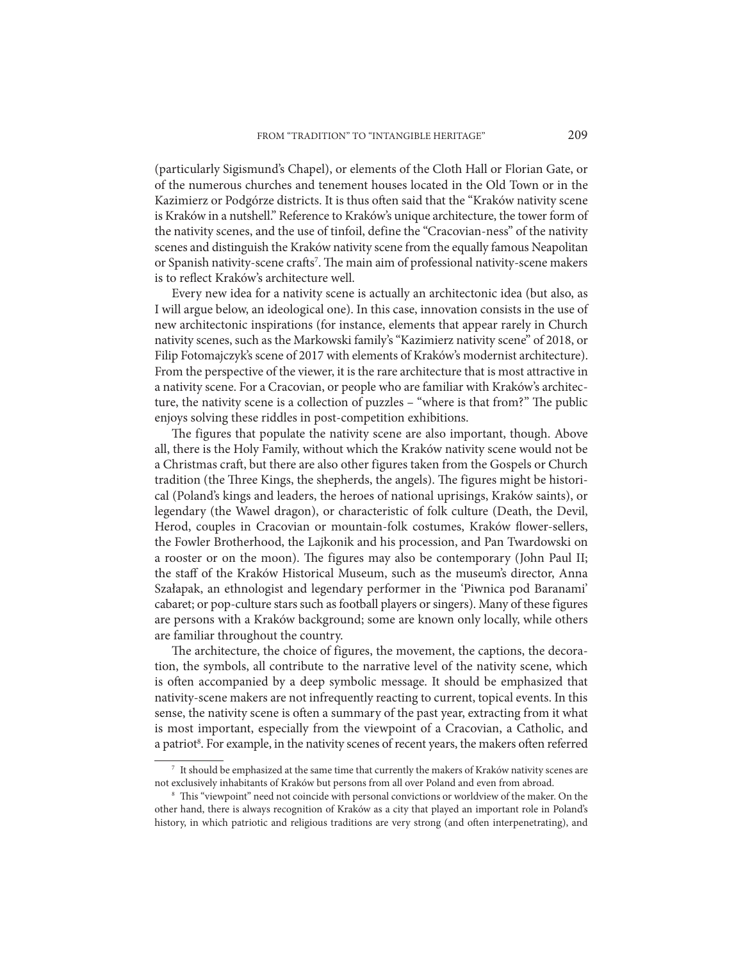(particularly Sigismund's Chapel), or elements of the Cloth Hall or Florian Gate, or of the numerous churches and tenement houses located in the Old Town or in the Kazimierz or Podgórze districts. It is thus often said that the "Kraków nativity scene is Kraków in a nutshell." Reference to Kraków's unique architecture, the tower form of the nativity scenes, and the use of tinfoil, define the "Cracovian-ness" of the nativity scenes and distinguish the Kraków nativity scene from the equally famous Neapolitan or Spanish nativity-scene crafts<sup>7</sup>. The main aim of professional nativity-scene makers is to reflect Kraków's architecture well.

Every new idea for a nativity scene is actually an architectonic idea (but also, as I will argue below, an ideological one). In this case, innovation consists in the use of new architectonic inspirations (for instance, elements that appear rarely in Church nativity scenes, such as the Markowski family's "Kazimierz nativity scene" of 2018, or Filip Fotomajczyk's scene of 2017 with elements of Kraków's modernist architecture). From the perspective of the viewer, it is the rare architecture that is most attractive in a nativity scene. For a Cracovian, or people who are familiar with Kraków's architecture, the nativity scene is a collection of puzzles – "where is that from?" The public enjoys solving these riddles in post-competition exhibitions.

The figures that populate the nativity scene are also important, though. Above all, there is the Holy Family, without which the Kraków nativity scene would not be a Christmas craft, but there are also other figures taken from the Gospels or Church tradition (the Three Kings, the shepherds, the angels). The figures might be historical (Poland's kings and leaders, the heroes of national uprisings, Kraków saints), or legendary (the Wawel dragon), or characteristic of folk culture (Death, the Devil, Herod, couples in Cracovian or mountain-folk costumes, Kraków flower-sellers, the Fowler Brotherhood, the Lajkonik and his procession, and Pan Twardowski on a rooster or on the moon). The figures may also be contemporary (John Paul II; the staff of the Kraków Historical Museum, such as the museum's director, Anna Szałapak, an ethnologist and legendary performer in the 'Piwnica pod Baranami' cabaret; or pop-culture stars such as football players or singers). Many of these figures are persons with a Kraków background; some are known only locally, while others are familiar throughout the country.

The architecture, the choice of figures, the movement, the captions, the decoration, the symbols, all contribute to the narrative level of the nativity scene, which is often accompanied by a deep symbolic message. It should be emphasized that nativity-scene makers are not infrequently reacting to current, topical events. In this sense, the nativity scene is often a summary of the past year, extracting from it what is most important, especially from the viewpoint of a Cracovian, a Catholic, and a patriot<sup>8</sup>. For example, in the nativity scenes of recent years, the makers often referred

 $^7\,$  It should be emphasized at the same time that currently the makers of Kraków nativity scenes are not exclusively inhabitants of Kraków but persons from all over Poland and even from abroad.

<sup>&</sup>lt;sup>8</sup> This "viewpoint" need not coincide with personal convictions or worldview of the maker. On the other hand, there is always recognition of Kraków as a city that played an important role in Poland's history, in which patriotic and religious traditions are very strong (and often interpenetrating), and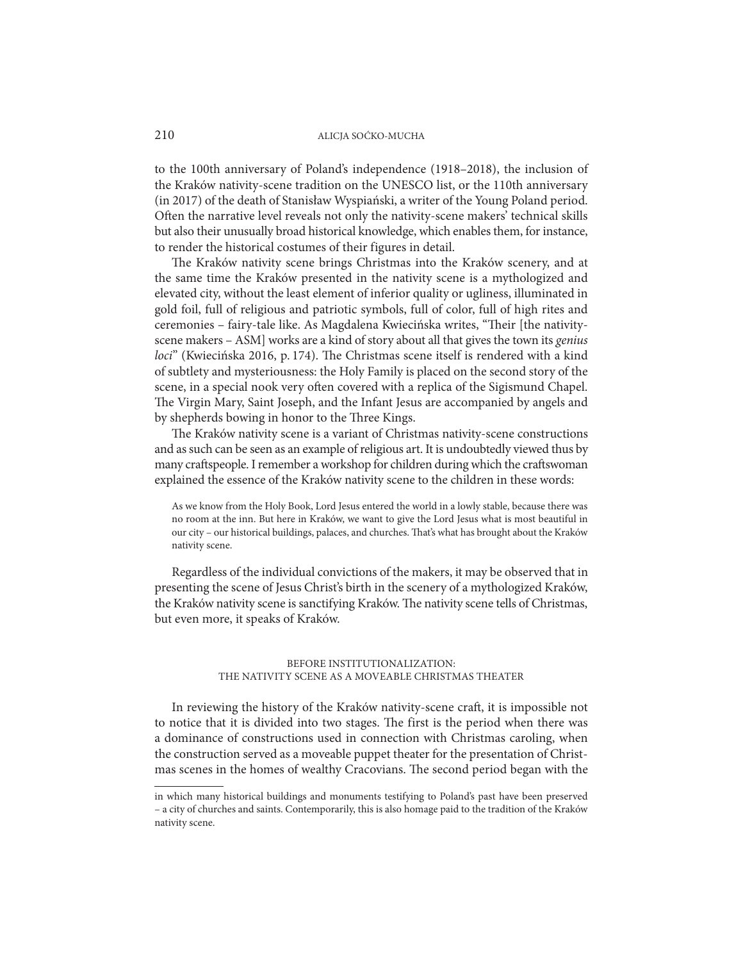to the 100th anniversary of Poland's independence (1918–2018), the inclusion of the Kraków nativity-scene tradition on the UNESCO list, or the 110th anniversary (in 2017) of the death of Stanisław Wyspiański, a writer of the Young Poland period. Often the narrative level reveals not only the nativity-scene makers' technical skills but also their unusually broad historical knowledge, which enables them, for instance, to render the historical costumes of their figures in detail.

The Kraków nativity scene brings Christmas into the Kraków scenery, and at the same time the Kraków presented in the nativity scene is a mythologized and elevated city, without the least element of inferior quality or ugliness, illuminated in gold foil, full of religious and patriotic symbols, full of color, full of high rites and ceremonies – fairy-tale like. As Magdalena Kwiecińska writes, "Their [the nativityscene makers – ASM] works are a kind of story about all that gives the town its *genius loci*" (Kwiecińska 2016, p. 174). The Christmas scene itself is rendered with a kind of subtlety and mysteriousness: the Holy Family is placed on the second story of the scene, in a special nook very often covered with a replica of the Sigismund Chapel. The Virgin Mary, Saint Joseph, and the Infant Jesus are accompanied by angels and by shepherds bowing in honor to the Three Kings.

The Kraków nativity scene is a variant of Christmas nativity-scene constructions and as such can be seen as an example of religious art. It is undoubtedly viewed thus by many craftspeople. I remember a workshop for children during which the craftswoman explained the essence of the Kraków nativity scene to the children in these words:

As we know from the Holy Book, Lord Jesus entered the world in a lowly stable, because there was no room at the inn. But here in Kraków, we want to give the Lord Jesus what is most beautiful in our city – our historical buildings, palaces, and churches. That's what has brought about the Kraków nativity scene.

Regardless of the individual convictions of the makers, it may be observed that in presenting the scene of Jesus Christ's birth in the scenery of a mythologized Kraków, the Kraków nativity scene is sanctifying Kraków. The nativity scene tells of Christmas, but even more, it speaks of Kraków.

# BEFORE INSTITUTIONALIZATION: THE NATIVITY SCENE AS A MOVEABLE CHRISTMAS THEATER

In reviewing the history of the Kraków nativity-scene craft, it is impossible not to notice that it is divided into two stages. The first is the period when there was a dominance of constructions used in connection with Christmas caroling, when the construction served as a moveable puppet theater for the presentation of Christmas scenes in the homes of wealthy Cracovians. The second period began with the

in which many historical buildings and monuments testifying to Poland's past have been preserved – a city of churches and saints. Contemporarily, this is also homage paid to the tradition of the Kraków nativity scene.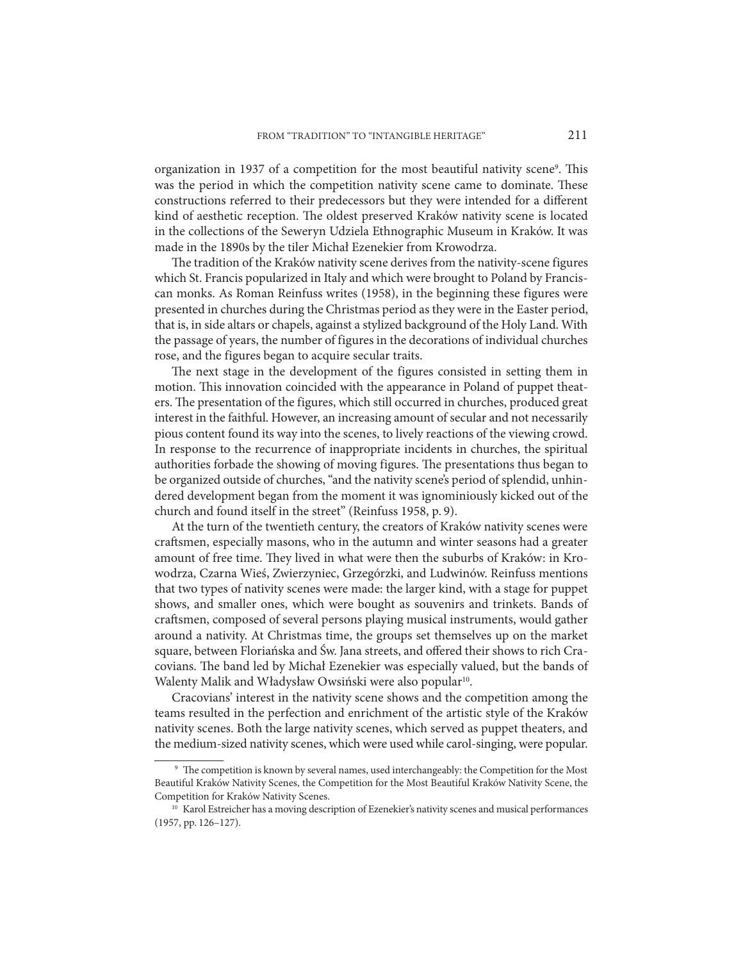organization in 1937 of a competition for the most beautiful nativity scene<sup>9</sup>. This was the period in which the competition nativity scene came to dominate. These constructions referred to their predecessors but they were intended for a different kind of aesthetic reception. The oldest preserved Kraków nativity scene is located in the collections of the Seweryn Udziela Ethnographic Museum in Kraków. It was made in the 1890s by the tiler Michał Ezenekier from Krowodrza.

The tradition of the Kraków nativity scene derives from the nativity-scene figures which St. Francis popularized in Italy and which were brought to Poland by Franciscan monks. As Roman Reinfuss writes (1958), in the beginning these figures were presented in churches during the Christmas period as they were in the Easter period, that is, in side altars or chapels, against a stylized background of the Holy Land. With the passage of years, the number of figures in the decorations of individual churches rose, and the figures began to acquire secular traits.

The next stage in the development of the figures consisted in setting them in motion. This innovation coincided with the appearance in Poland of puppet theaters. The presentation of the figures, which still occurred in churches, produced great interest in the faithful. However, an increasing amount of secular and not necessarily pious content found its way into the scenes, to lively reactions of the viewing crowd. In response to the recurrence of inappropriate incidents in churches, the spiritual authorities forbade the showing of moving figures. The presentations thus began to be organized outside of churches, "and the nativity scene's period of splendid, unhindered development began from the moment it was ignominiously kicked out of the church and found itself in the street" (Reinfuss 1958, p. 9).

At the turn of the twentieth century, the creators of Kraków nativity scenes were craftsmen, especially masons, who in the autumn and winter seasons had a greater amount of free time. They lived in what were then the suburbs of Kraków: in Krowodrza, Czarna Wieś, Zwierzyniec, Grzegórzki, and Ludwinów. Reinfuss mentions that two types of nativity scenes were made: the larger kind, with a stage for puppet shows, and smaller ones, which were bought as souvenirs and trinkets. Bands of craftsmen, composed of several persons playing musical instruments, would gather around a nativity. At Christmas time, the groups set themselves up on the market square, between Floriańska and Św. Jana streets, and offered their shows to rich Cracovians. The band led by Michał Ezenekier was especially valued, but the bands of Walenty Malik and Władysław Owsiński were also popular<sup>10</sup>.

Cracovians' interest in the nativity scene shows and the competition among the teams resulted in the perfection and enrichment of the artistic style of the Kraków nativity scenes. Both the large nativity scenes, which served as puppet theaters, and the medium-sized nativity scenes, which were used while carol-singing, were popular.

<sup>&</sup>lt;sup>9</sup> The competition is known by several names, used interchangeably: the Competition for the Most Beautiful Kraków Nativity Scenes, the Competition for the Most Beautiful Kraków Nativity Scene, the Competition for Kraków Nativity Scenes.

<sup>&</sup>lt;sup>10</sup> Karol Estreicher has a moving description of Ezenekier's nativity scenes and musical performances (1957, pp. 126–127).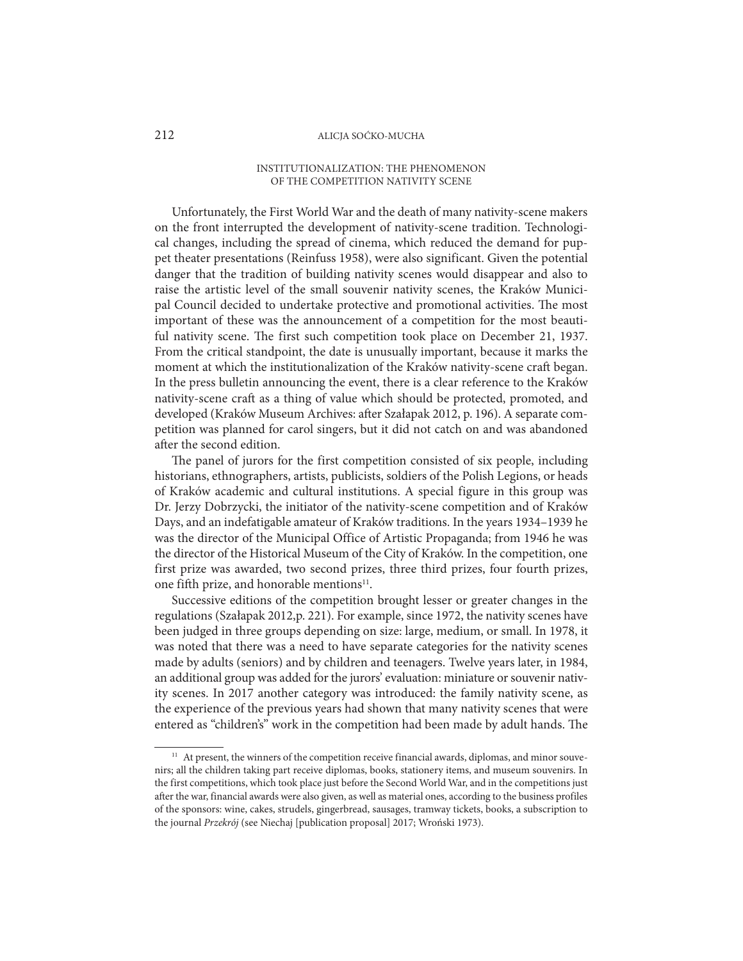#### INSTITUTIONALIZATION: THE PHENOMENON OF THE COMPETITION NATIVITY SCENE

Unfortunately, the First World War and the death of many nativity-scene makers on the front interrupted the development of nativity-scene tradition. Technological changes, including the spread of cinema, which reduced the demand for puppet theater presentations (Reinfuss 1958), were also significant. Given the potential danger that the tradition of building nativity scenes would disappear and also to raise the artistic level of the small souvenir nativity scenes, the Kraków Municipal Council decided to undertake protective and promotional activities. The most important of these was the announcement of a competition for the most beautiful nativity scene. The first such competition took place on December 21, 1937. From the critical standpoint, the date is unusually important, because it marks the moment at which the institutionalization of the Kraków nativity-scene craft began. In the press bulletin announcing the event, there is a clear reference to the Kraków nativity-scene craft as a thing of value which should be protected, promoted, and developed (Kraków Museum Archives: after Szałapak 2012, p. 196). A separate competition was planned for carol singers, but it did not catch on and was abandoned after the second edition.

The panel of jurors for the first competition consisted of six people, including historians, ethnographers, artists, publicists, soldiers of the Polish Legions, or heads of Kraków academic and cultural institutions. A special figure in this group was Dr. Jerzy Dobrzycki, the initiator of the nativity-scene competition and of Kraków Days, and an indefatigable amateur of Kraków traditions. In the years 1934–1939 he was the director of the Municipal Office of Artistic Propaganda; from 1946 he was the director of the Historical Museum of the City of Kraków. In the competition, one first prize was awarded, two second prizes, three third prizes, four fourth prizes, one fifth prize, and honorable mentions<sup>11</sup>.

Successive editions of the competition brought lesser or greater changes in the regulations (Szałapak 2012,p. 221). For example, since 1972, the nativity scenes have been judged in three groups depending on size: large, medium, or small. In 1978, it was noted that there was a need to have separate categories for the nativity scenes made by adults (seniors) and by children and teenagers. Twelve years later, in 1984, an additional group was added for the jurors' evaluation: miniature or souvenir nativity scenes. In 2017 another category was introduced: the family nativity scene, as the experience of the previous years had shown that many nativity scenes that were entered as "children's" work in the competition had been made by adult hands. The

<sup>&</sup>lt;sup>11</sup> At present, the winners of the competition receive financial awards, diplomas, and minor souvenirs; all the children taking part receive diplomas, books, stationery items, and museum souvenirs. In the first competitions, which took place just before the Second World War, and in the competitions just after the war, financial awards were also given, as well as material ones, according to the business profiles of the sponsors: wine, cakes, strudels, gingerbread, sausages, tramway tickets, books, a subscription to the journal *Przekrój* (see Niechaj [publication proposal] 2017; Wroński 1973).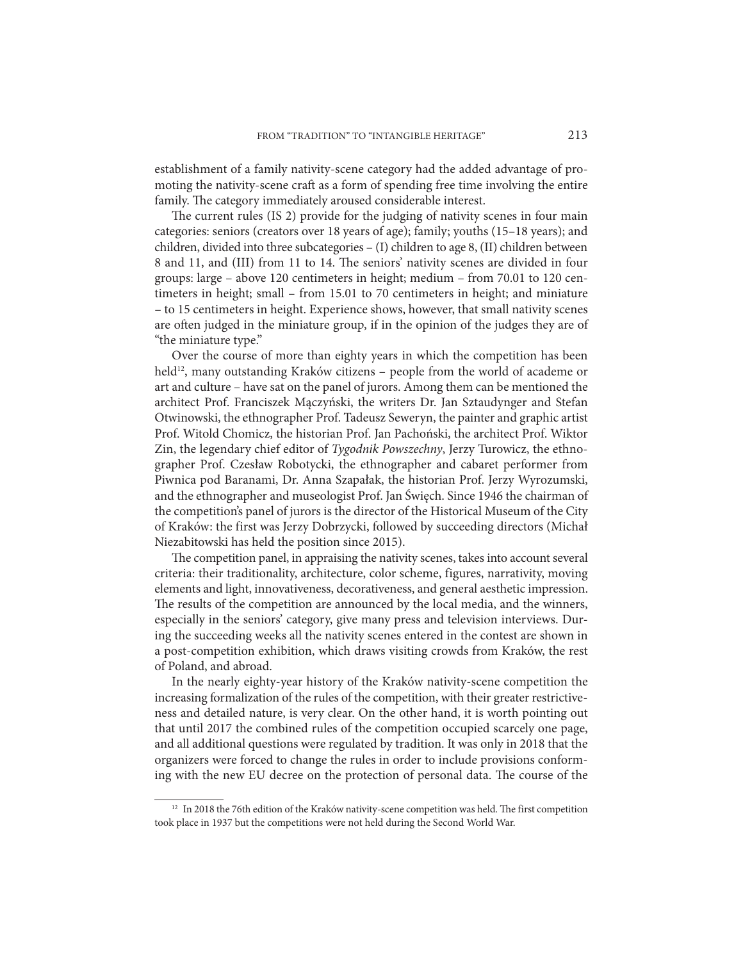establishment of a family nativity-scene category had the added advantage of promoting the nativity-scene craft as a form of spending free time involving the entire family. The category immediately aroused considerable interest.

The current rules (IS 2) provide for the judging of nativity scenes in four main categories: seniors (creators over 18 years of age); family; youths (15–18 years); and children, divided into three subcategories – (I) children to age 8, (II) children between 8 and 11, and (III) from 11 to 14. The seniors' nativity scenes are divided in four groups: large – above 120 centimeters in height; medium – from 70.01 to 120 centimeters in height; small – from 15.01 to 70 centimeters in height; and miniature – to 15 centimeters in height. Experience shows, however, that small nativity scenes are often judged in the miniature group, if in the opinion of the judges they are of "the miniature type."

Over the course of more than eighty years in which the competition has been held<sup>12</sup>, many outstanding Kraków citizens – people from the world of academe or art and culture – have sat on the panel of jurors. Among them can be mentioned the architect Prof. Franciszek Mączyński, the writers Dr. Jan Sztaudynger and Stefan Otwinowski, the ethnographer Prof. Tadeusz Seweryn, the painter and graphic artist Prof. Witold Chomicz, the historian Prof. Jan Pachoński, the architect Prof. Wiktor Zin, the legendary chief editor of *Tygodnik Powszechny*, Jerzy Turowicz, the ethnographer Prof. Czesław Robotycki, the ethnographer and cabaret performer from Piwnica pod Baranami, Dr. Anna Szapałak, the historian Prof. Jerzy Wyrozumski, and the ethnographer and museologist Prof. Jan Święch. Since 1946 the chairman of the competition's panel of jurors is the director of the Historical Museum of the City of Kraków: the first was Jerzy Dobrzycki, followed by succeeding directors (Michał Niezabitowski has held the position since 2015).

The competition panel, in appraising the nativity scenes, takes into account several criteria: their traditionality, architecture, color scheme, figures, narrativity, moving elements and light, innovativeness, decorativeness, and general aesthetic impression. The results of the competition are announced by the local media, and the winners, especially in the seniors' category, give many press and television interviews. During the succeeding weeks all the nativity scenes entered in the contest are shown in a post-competition exhibition, which draws visiting crowds from Kraków, the rest of Poland, and abroad.

In the nearly eighty-year history of the Kraków nativity-scene competition the increasing formalization of the rules of the competition, with their greater restrictiveness and detailed nature, is very clear. On the other hand, it is worth pointing out that until 2017 the combined rules of the competition occupied scarcely one page, and all additional questions were regulated by tradition. It was only in 2018 that the organizers were forced to change the rules in order to include provisions conforming with the new EU decree on the protection of personal data. The course of the

<sup>&</sup>lt;sup>12</sup> In 2018 the 76th edition of the Kraków nativity-scene competition was held. The first competition took place in 1937 but the competitions were not held during the Second World War.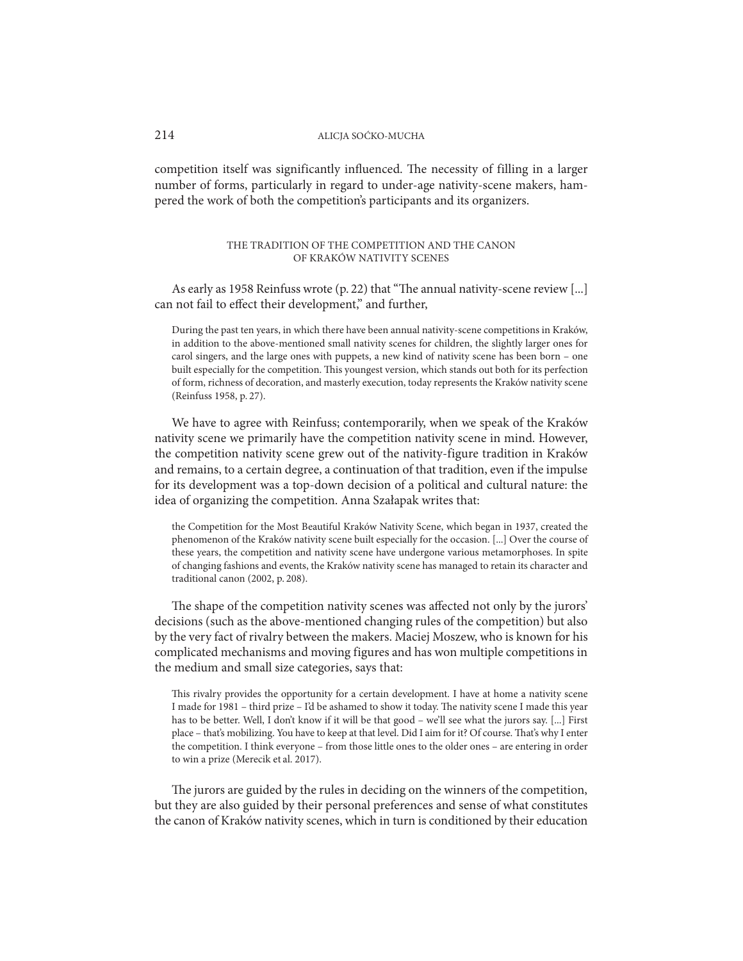competition itself was significantly influenced. The necessity of filling in a larger number of forms, particularly in regard to under-age nativity-scene makers, hampered the work of both the competition's participants and its organizers.

# THE TRADITION OF THE COMPETITION AND THE CANON OF KRAKÓW NATIVITY SCENES

As early as 1958 Reinfuss wrote (p. 22) that "The annual nativity-scene review [...] can not fail to effect their development," and further,

During the past ten years, in which there have been annual nativity-scene competitions in Kraków, in addition to the above-mentioned small nativity scenes for children, the slightly larger ones for carol singers, and the large ones with puppets, a new kind of nativity scene has been born – one built especially for the competition. This youngest version, which stands out both for its perfection of form, richness of decoration, and masterly execution, today represents the Kraków nativity scene (Reinfuss 1958, p. 27).

We have to agree with Reinfuss; contemporarily, when we speak of the Kraków nativity scene we primarily have the competition nativity scene in mind. However, the competition nativity scene grew out of the nativity-figure tradition in Kraków and remains, to a certain degree, a continuation of that tradition, even if the impulse for its development was a top-down decision of a political and cultural nature: the idea of organizing the competition. Anna Szałapak writes that:

the Competition for the Most Beautiful Kraków Nativity Scene, which began in 1937, created the phenomenon of the Kraków nativity scene built especially for the occasion. [...] Over the course of these years, the competition and nativity scene have undergone various metamorphoses. In spite of changing fashions and events, the Kraków nativity scene has managed to retain its character and traditional canon (2002, p. 208).

The shape of the competition nativity scenes was affected not only by the jurors' decisions (such as the above-mentioned changing rules of the competition) but also by the very fact of rivalry between the makers. Maciej Moszew, who is known for his complicated mechanisms and moving figures and has won multiple competitions in the medium and small size categories, says that:

This rivalry provides the opportunity for a certain development. I have at home a nativity scene I made for 1981 – third prize – I'd be ashamed to show it today. The nativity scene I made this year has to be better. Well, I don't know if it will be that good – we'll see what the jurors say. [...] First place – that's mobilizing. You have to keep at that level. Did I aim for it? Of course. That's why I enter the competition. I think everyone – from those little ones to the older ones – are entering in order to win a prize (Merecik et al. 2017).

The jurors are guided by the rules in deciding on the winners of the competition, but they are also guided by their personal preferences and sense of what constitutes the canon of Kraków nativity scenes, which in turn is conditioned by their education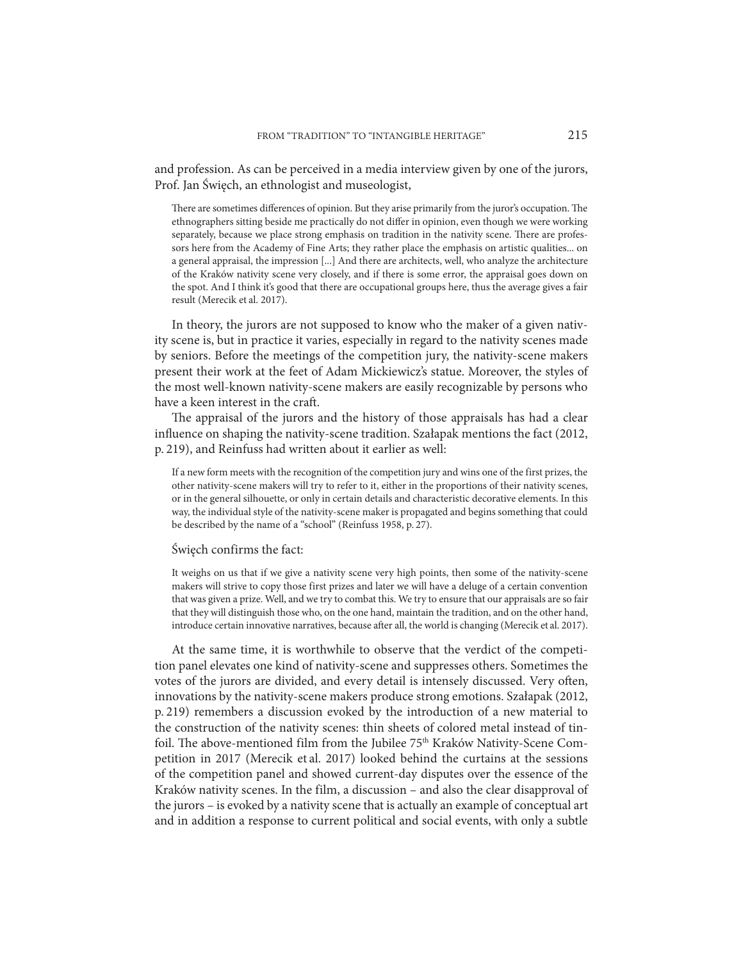and profession. As can be perceived in a media interview given by one of the jurors, Prof. Jan Święch, an ethnologist and museologist,

There are sometimes differences of opinion. But they arise primarily from the juror's occupation. The ethnographers sitting beside me practically do not differ in opinion, even though we were working separately, because we place strong emphasis on tradition in the nativity scene. There are professors here from the Academy of Fine Arts; they rather place the emphasis on artistic qualities... on a general appraisal, the impression [...] And there are architects, well, who analyze the architecture of the Kraków nativity scene very closely, and if there is some error, the appraisal goes down on the spot. And I think it's good that there are occupational groups here, thus the average gives a fair result (Merecik et al. 2017).

In theory, the jurors are not supposed to know who the maker of a given nativity scene is, but in practice it varies, especially in regard to the nativity scenes made by seniors. Before the meetings of the competition jury, the nativity-scene makers present their work at the feet of Adam Mickiewicz's statue. Moreover, the styles of the most well-known nativity-scene makers are easily recognizable by persons who have a keen interest in the craft.

The appraisal of the jurors and the history of those appraisals has had a clear influence on shaping the nativity-scene tradition. Szałapak mentions the fact (2012, p. 219), and Reinfuss had written about it earlier as well:

If a new form meets with the recognition of the competition jury and wins one of the first prizes, the other nativity-scene makers will try to refer to it, either in the proportions of their nativity scenes, or in the general silhouette, or only in certain details and characteristic decorative elements. In this way, the individual style of the nativity-scene maker is propagated and begins something that could be described by the name of a "school" (Reinfuss 1958, p. 27).

#### Święch confirms the fact:

It weighs on us that if we give a nativity scene very high points, then some of the nativity-scene makers will strive to copy those first prizes and later we will have a deluge of a certain convention that was given a prize. Well, and we try to combat this. We try to ensure that our appraisals are so fair that they will distinguish those who, on the one hand, maintain the tradition, and on the other hand, introduce certain innovative narratives, because after all, the world is changing (Merecik et al. 2017).

At the same time, it is worthwhile to observe that the verdict of the competition panel elevates one kind of nativity-scene and suppresses others. Sometimes the votes of the jurors are divided, and every detail is intensely discussed. Very often, innovations by the nativity-scene makers produce strong emotions. Szałapak (2012, p. 219) remembers a discussion evoked by the introduction of a new material to the construction of the nativity scenes: thin sheets of colored metal instead of tinfoil. The above-mentioned film from the Jubilee 75<sup>th</sup> Kraków Nativity-Scene Competition in 2017 (Merecik et al. 2017) looked behind the curtains at the sessions of the competition panel and showed current-day disputes over the essence of the Kraków nativity scenes. In the film, a discussion – and also the clear disapproval of the jurors – is evoked by a nativity scene that is actually an example of conceptual art and in addition a response to current political and social events, with only a subtle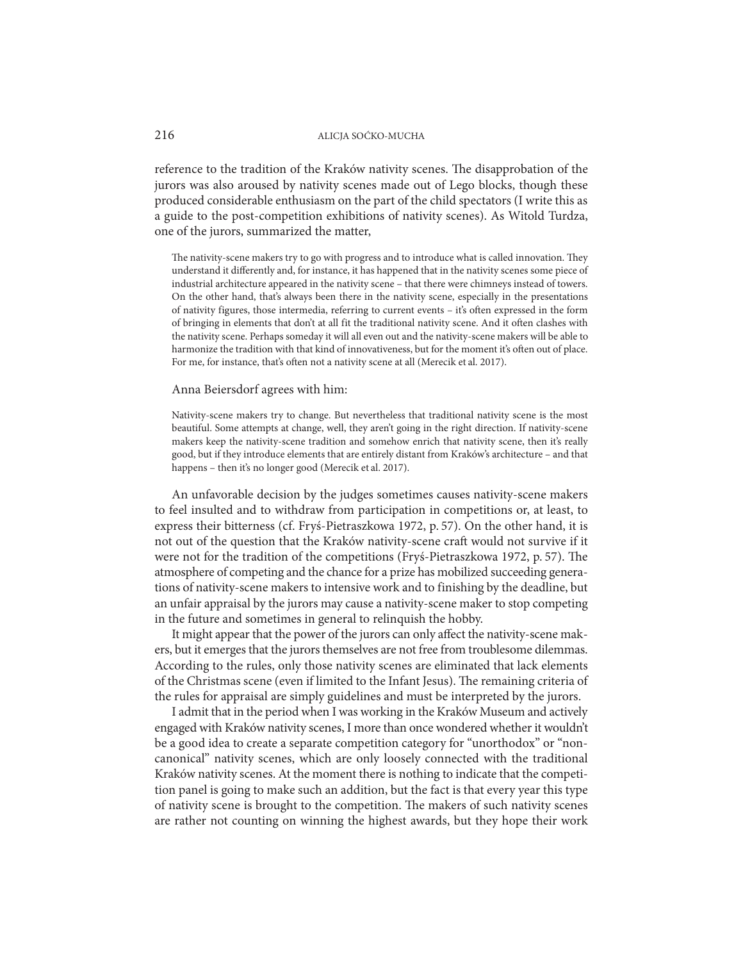reference to the tradition of the Kraków nativity scenes. The disapprobation of the jurors was also aroused by nativity scenes made out of Lego blocks, though these produced considerable enthusiasm on the part of the child spectators (I write this as a guide to the post-competition exhibitions of nativity scenes). As Witold Turdza, one of the jurors, summarized the matter,

The nativity-scene makers try to go with progress and to introduce what is called innovation. They understand it differently and, for instance, it has happened that in the nativity scenes some piece of industrial architecture appeared in the nativity scene – that there were chimneys instead of towers. On the other hand, that's always been there in the nativity scene, especially in the presentations of nativity figures, those intermedia, referring to current events – it's often expressed in the form of bringing in elements that don't at all fit the traditional nativity scene. And it often clashes with the nativity scene. Perhaps someday it will all even out and the nativity-scene makers will be able to harmonize the tradition with that kind of innovativeness, but for the moment it's often out of place. For me, for instance, that's often not a nativity scene at all (Merecik et al. 2017).

#### Anna Beiersdorf agrees with him:

Nativity-scene makers try to change. But nevertheless that traditional nativity scene is the most beautiful. Some attempts at change, well, they aren't going in the right direction. If nativity-scene makers keep the nativity-scene tradition and somehow enrich that nativity scene, then it's really good, but if they introduce elements that are entirely distant from Kraków's architecture – and that happens – then it's no longer good (Merecik et al. 2017).

An unfavorable decision by the judges sometimes causes nativity-scene makers to feel insulted and to withdraw from participation in competitions or, at least, to express their bitterness (cf. Fryś-Pietraszkowa 1972, p. 57). On the other hand, it is not out of the question that the Kraków nativity-scene craft would not survive if it were not for the tradition of the competitions (Fryś-Pietraszkowa 1972, p. 57). The atmosphere of competing and the chance for a prize has mobilized succeeding generations of nativity-scene makers to intensive work and to finishing by the deadline, but an unfair appraisal by the jurors may cause a nativity-scene maker to stop competing in the future and sometimes in general to relinquish the hobby.

It might appear that the power of the jurors can only affect the nativity-scene makers, but it emerges that the jurors themselves are not free from troublesome dilemmas. According to the rules, only those nativity scenes are eliminated that lack elements of the Christmas scene (even if limited to the Infant Jesus). The remaining criteria of the rules for appraisal are simply guidelines and must be interpreted by the jurors.

I admit that in the period when I was working in the Kraków Museum and actively engaged with Kraków nativity scenes, I more than once wondered whether it wouldn't be a good idea to create a separate competition category for "unorthodox" or "noncanonical" nativity scenes, which are only loosely connected with the traditional Kraków nativity scenes. At the moment there is nothing to indicate that the competition panel is going to make such an addition, but the fact is that every year this type of nativity scene is brought to the competition. The makers of such nativity scenes are rather not counting on winning the highest awards, but they hope their work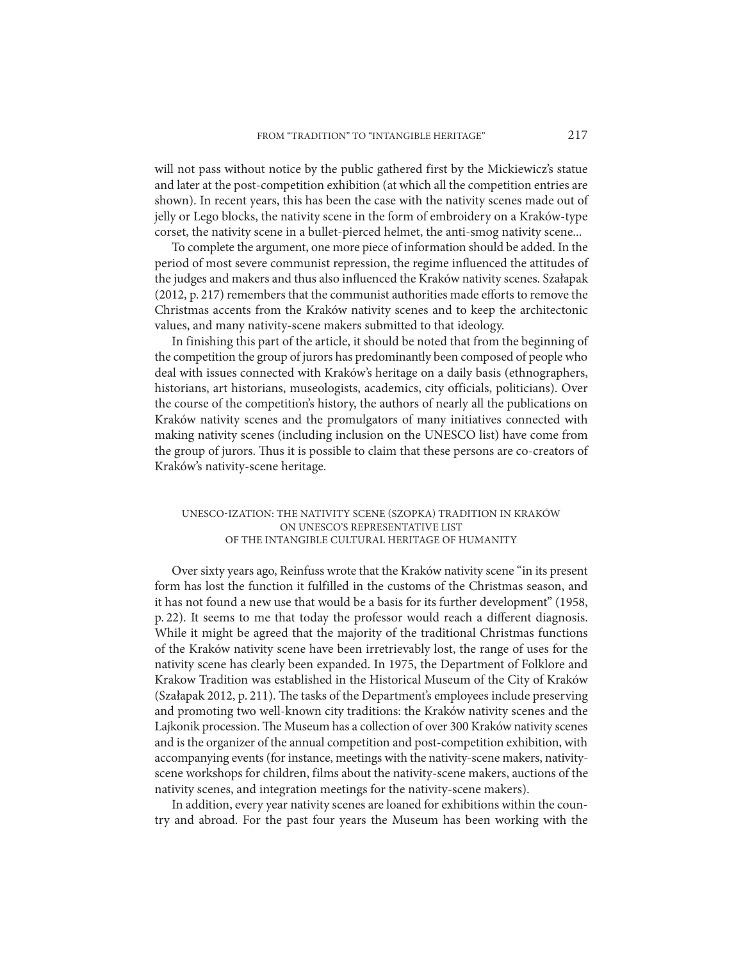will not pass without notice by the public gathered first by the Mickiewicz's statue and later at the post-competition exhibition (at which all the competition entries are shown). In recent years, this has been the case with the nativity scenes made out of jelly or Lego blocks, the nativity scene in the form of embroidery on a Kraków-type corset, the nativity scene in a bullet-pierced helmet, the anti-smog nativity scene...

To complete the argument, one more piece of information should be added. In the period of most severe communist repression, the regime influenced the attitudes of the judges and makers and thus also influenced the Kraków nativity scenes. Szałapak (2012, p. 217) remembers that the communist authorities made efforts to remove the Christmas accents from the Kraków nativity scenes and to keep the architectonic values, and many nativity-scene makers submitted to that ideology.

In finishing this part of the article, it should be noted that from the beginning of the competition the group of jurors has predominantly been composed of people who deal with issues connected with Kraków's heritage on a daily basis (ethnographers, historians, art historians, museologists, academics, city officials, politicians). Over the course of the competition's history, the authors of nearly all the publications on Kraków nativity scenes and the promulgators of many initiatives connected with making nativity scenes (including inclusion on the UNESCO list) have come from the group of jurors. Thus it is possible to claim that these persons are co-creators of Kraków's nativity-scene heritage.

#### UNESCO-IZATION: THE NATIVITY SCENE (SZOPKA) TRADITION IN KRAKÓW ON UNESCO'S REPRESENTATIVE LIST OF THE INTANGIBLE CULTURAL HERITAGE OF HUMANITY

Over sixty years ago, Reinfuss wrote that the Kraków nativity scene "in its present form has lost the function it fulfilled in the customs of the Christmas season, and it has not found a new use that would be a basis for its further development" (1958, p. 22). It seems to me that today the professor would reach a different diagnosis. While it might be agreed that the majority of the traditional Christmas functions of the Kraków nativity scene have been irretrievably lost, the range of uses for the nativity scene has clearly been expanded. In 1975, the Department of Folklore and Krakow Tradition was established in the Historical Museum of the City of Kraków (Szałapak 2012, p. 211). The tasks of the Department's employees include preserving and promoting two well-known city traditions: the Kraków nativity scenes and the Lajkonik procession. The Museum has a collection of over 300 Kraków nativity scenes and is the organizer of the annual competition and post-competition exhibition, with accompanying events (for instance, meetings with the nativity-scene makers, nativityscene workshops for children, films about the nativity-scene makers, auctions of the nativity scenes, and integration meetings for the nativity-scene makers).

In addition, every year nativity scenes are loaned for exhibitions within the country and abroad. For the past four years the Museum has been working with the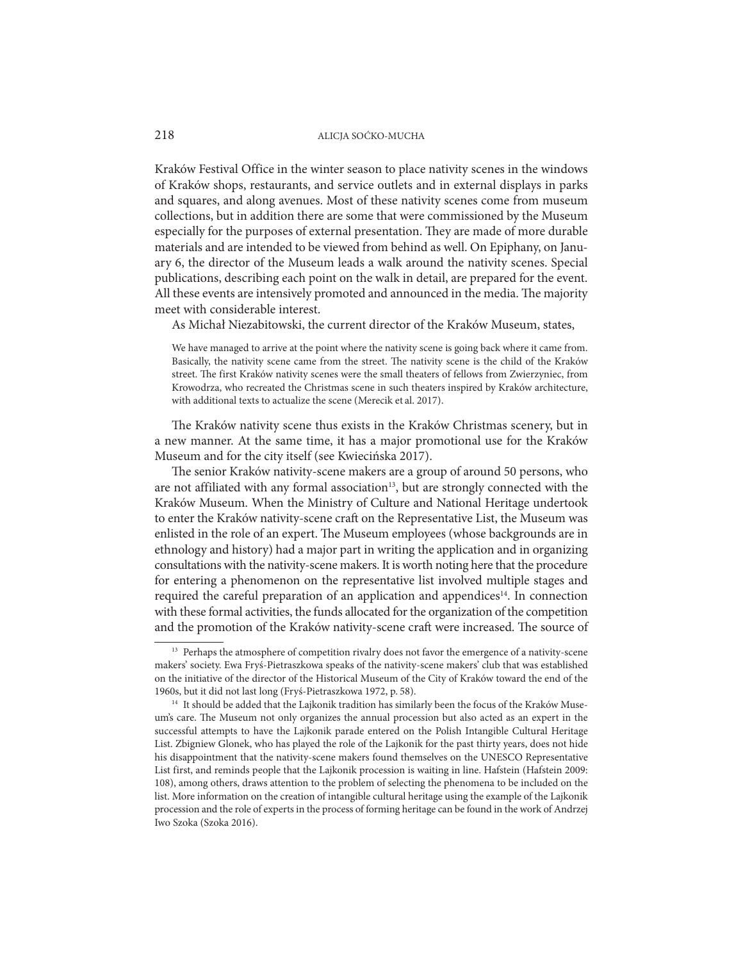Kraków Festival Office in the winter season to place nativity scenes in the windows of Kraków shops, restaurants, and service outlets and in external displays in parks and squares, and along avenues. Most of these nativity scenes come from museum collections, but in addition there are some that were commissioned by the Museum especially for the purposes of external presentation. They are made of more durable materials and are intended to be viewed from behind as well. On Epiphany, on January 6, the director of the Museum leads a walk around the nativity scenes. Special publications, describing each point on the walk in detail, are prepared for the event. All these events are intensively promoted and announced in the media. The majority meet with considerable interest.

As Michał Niezabitowski, the current director of the Kraków Museum, states,

We have managed to arrive at the point where the nativity scene is going back where it came from. Basically, the nativity scene came from the street. The nativity scene is the child of the Kraków street. The first Kraków nativity scenes were the small theaters of fellows from Zwierzyniec, from Krowodrza, who recreated the Christmas scene in such theaters inspired by Kraków architecture, with additional texts to actualize the scene (Merecik et al. 2017).

The Kraków nativity scene thus exists in the Kraków Christmas scenery, but in a new manner. At the same time, it has a major promotional use for the Kraków Museum and for the city itself (see Kwiecińska 2017).

The senior Kraków nativity-scene makers are a group of around 50 persons, who are not affiliated with any formal association<sup>13</sup>, but are strongly connected with the Kraków Museum. When the Ministry of Culture and National Heritage undertook to enter the Kraków nativity-scene craft on the Representative List, the Museum was enlisted in the role of an expert. The Museum employees (whose backgrounds are in ethnology and history) had a major part in writing the application and in organizing consultations with the nativity-scene makers. It is worth noting here that the procedure for entering a phenomenon on the representative list involved multiple stages and required the careful preparation of an application and appendices<sup>14</sup>. In connection with these formal activities, the funds allocated for the organization of the competition and the promotion of the Kraków nativity-scene craft were increased. The source of

<sup>&</sup>lt;sup>13</sup> Perhaps the atmosphere of competition rivalry does not favor the emergence of a nativity-scene makers' society. Ewa Fryś-Pietraszkowa speaks of the nativity-scene makers' club that was established on the initiative of the director of the Historical Museum of the City of Kraków toward the end of the 1960s, but it did not last long (Fryś-Pietraszkowa 1972, p. 58).

<sup>&</sup>lt;sup>14</sup> It should be added that the Lajkonik tradition has similarly been the focus of the Kraków Museum's care. The Museum not only organizes the annual procession but also acted as an expert in the successful attempts to have the Lajkonik parade entered on the Polish Intangible Cultural Heritage List. Zbigniew Glonek, who has played the role of the Lajkonik for the past thirty years, does not hide his disappointment that the nativity-scene makers found themselves on the UNESCO Representative List first, and reminds people that the Lajkonik procession is waiting in line. Hafstein (Hafstein 2009: 108), among others, draws attention to the problem of selecting the phenomena to be included on the list. More information on the creation of intangible cultural heritage using the example of the Lajkonik procession and the role of experts in the process of forming heritage can be found in the work of Andrzej Iwo Szoka (Szoka 2016).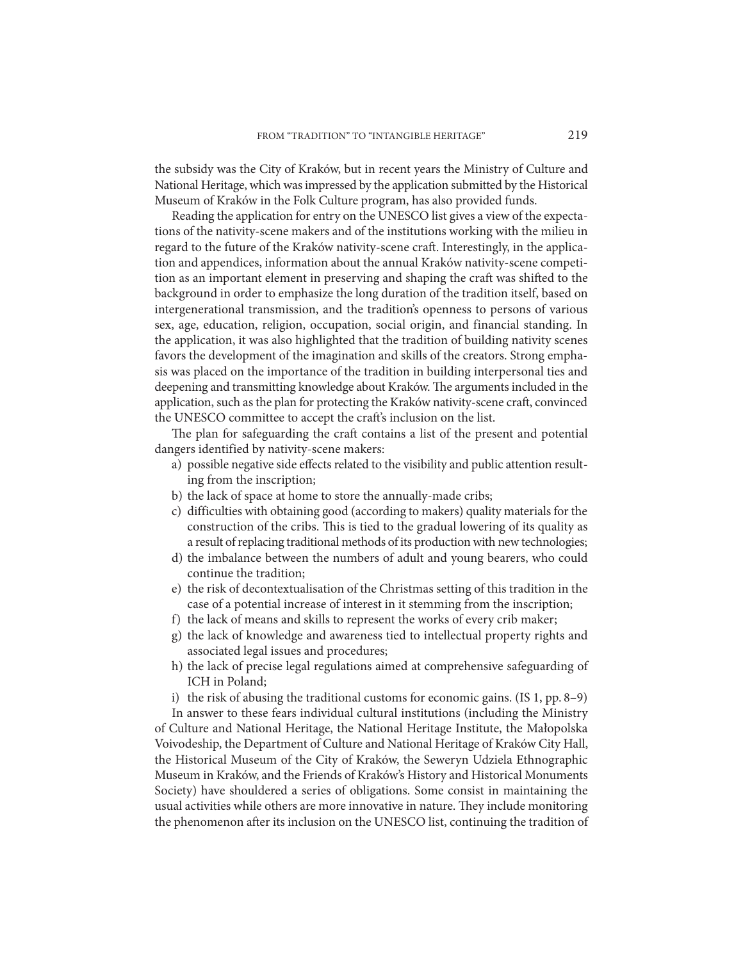the subsidy was the City of Kraków, but in recent years the Ministry of Culture and National Heritage, which was impressed by the application submitted by the Historical Museum of Kraków in the Folk Culture program, has also provided funds.

Reading the application for entry on the UNESCO list gives a view of the expectations of the nativity-scene makers and of the institutions working with the milieu in regard to the future of the Kraków nativity-scene craft. Interestingly, in the application and appendices, information about the annual Kraków nativity-scene competition as an important element in preserving and shaping the craft was shifted to the background in order to emphasize the long duration of the tradition itself, based on intergenerational transmission, and the tradition's openness to persons of various sex, age, education, religion, occupation, social origin, and financial standing. In the application, it was also highlighted that the tradition of building nativity scenes favors the development of the imagination and skills of the creators. Strong emphasis was placed on the importance of the tradition in building interpersonal ties and deepening and transmitting knowledge about Kraków. The arguments included in the application, such as the plan for protecting the Kraków nativity-scene craft, convinced the UNESCO committee to accept the craft's inclusion on the list.

The plan for safeguarding the craft contains a list of the present and potential dangers identified by nativity-scene makers:

- a) possible negative side effects related to the visibility and public attention resulting from the inscription;
- b) the lack of space at home to store the annually-made cribs;
- c) difficulties with obtaining good (according to makers) quality materials for the construction of the cribs. This is tied to the gradual lowering of its quality as a result of replacing traditional methods of its production with new technologies;
- d) the imbalance between the numbers of adult and young bearers, who could continue the tradition;
- e) the risk of decontextualisation of the Christmas setting of this tradition in the case of a potential increase of interest in it stemming from the inscription;
- f) the lack of means and skills to represent the works of every crib maker;
- g) the lack of knowledge and awareness tied to intellectual property rights and associated legal issues and procedures;
- h) the lack of precise legal regulations aimed at comprehensive safeguarding of ICH in Poland;

i) the risk of abusing the traditional customs for economic gains. (IS 1, pp. 8–9)

In answer to these fears individual cultural institutions (including the Ministry of Culture and National Heritage, the National Heritage Institute, the Małopolska Voivodeship, the Department of Culture and National Heritage of Kraków City Hall, the Historical Museum of the City of Kraków, the Seweryn Udziela Ethnographic Museum in Kraków, and the Friends of Kraków's History and Historical Monuments Society) have shouldered a series of obligations. Some consist in maintaining the usual activities while others are more innovative in nature. They include monitoring the phenomenon after its inclusion on the UNESCO list, continuing the tradition of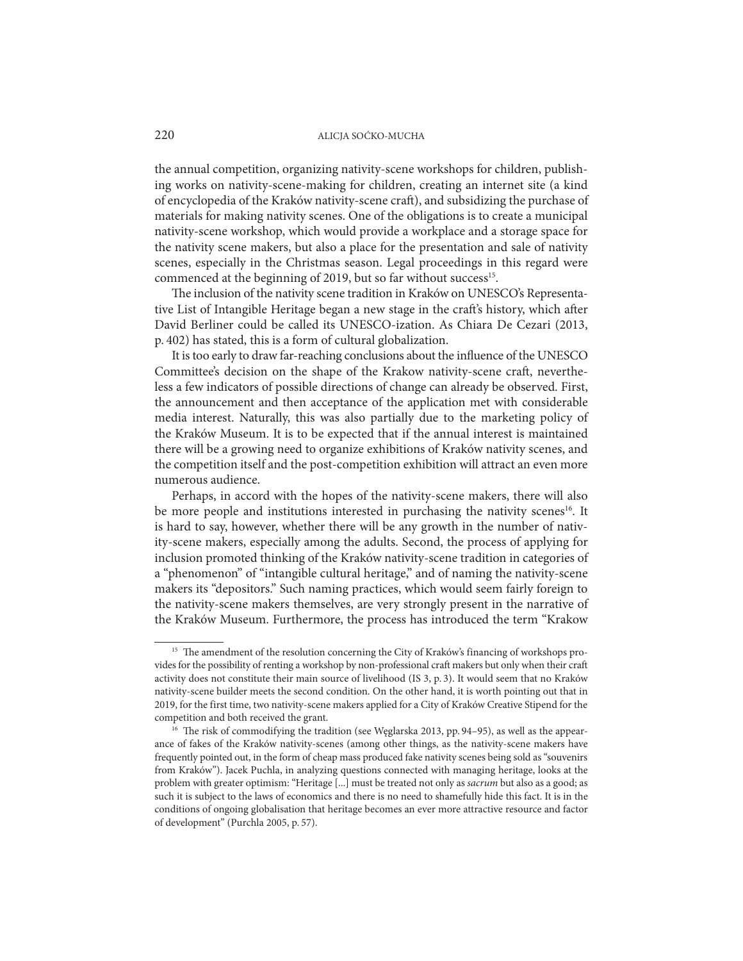the annual competition, organizing nativity-scene workshops for children, publishing works on nativity-scene-making for children, creating an internet site (a kind of encyclopedia of the Kraków nativity-scene craft), and subsidizing the purchase of materials for making nativity scenes. One of the obligations is to create a municipal nativity-scene workshop, which would provide a workplace and a storage space for the nativity scene makers, but also a place for the presentation and sale of nativity scenes, especially in the Christmas season. Legal proceedings in this regard were commenced at the beginning of 2019, but so far without success<sup>15</sup>.

The inclusion of the nativity scene tradition in Kraków on UNESCO's Representative List of Intangible Heritage began a new stage in the craft's history, which after David Berliner could be called its UNESCO-ization. As Chiara De Cezari (2013, p. 402) has stated, this is a form of cultural globalization.

It is too early to draw far-reaching conclusions about the influence of the UNESCO Committee's decision on the shape of the Krakow nativity-scene craft, nevertheless a few indicators of possible directions of change can already be observed. First, the announcement and then acceptance of the application met with considerable media interest. Naturally, this was also partially due to the marketing policy of the Kraków Museum. It is to be expected that if the annual interest is maintained there will be a growing need to organize exhibitions of Kraków nativity scenes, and the competition itself and the post-competition exhibition will attract an even more numerous audience.

Perhaps, in accord with the hopes of the nativity-scene makers, there will also be more people and institutions interested in purchasing the nativity scenes<sup>16</sup>. It is hard to say, however, whether there will be any growth in the number of nativity-scene makers, especially among the adults. Second, the process of applying for inclusion promoted thinking of the Kraków nativity-scene tradition in categories of a "phenomenon" of "intangible cultural heritage," and of naming the nativity-scene makers its "depositors." Such naming practices, which would seem fairly foreign to the nativity-scene makers themselves, are very strongly present in the narrative of the Kraków Museum. Furthermore, the process has introduced the term "Krakow

<sup>&</sup>lt;sup>15</sup> The amendment of the resolution concerning the City of Kraków's financing of workshops provides for the possibility of renting a workshop by non-professional craft makers but only when their craft activity does not constitute their main source of livelihood (IS 3, p. 3). It would seem that no Kraków nativity-scene builder meets the second condition. On the other hand, it is worth pointing out that in 2019, for the first time, two nativity-scene makers applied for a City of Kraków Creative Stipend for the competition and both received the grant.

<sup>&</sup>lt;sup>16</sup> The risk of commodifying the tradition (see Węglarska 2013, pp. 94–95), as well as the appearance of fakes of the Kraków nativity-scenes (among other things, as the nativity-scene makers have frequently pointed out, in the form of cheap mass produced fake nativity scenes being sold as "souvenirs from Kraków"). Jacek Puchla, in analyzing questions connected with managing heritage, looks at the problem with greater optimism: "Heritage [...] must be treated not only as *sacrum* but also as a good; as such it is subject to the laws of economics and there is no need to shamefully hide this fact. It is in the conditions of ongoing globalisation that heritage becomes an ever more attractive resource and factor of development" (Purchla 2005, p. 57).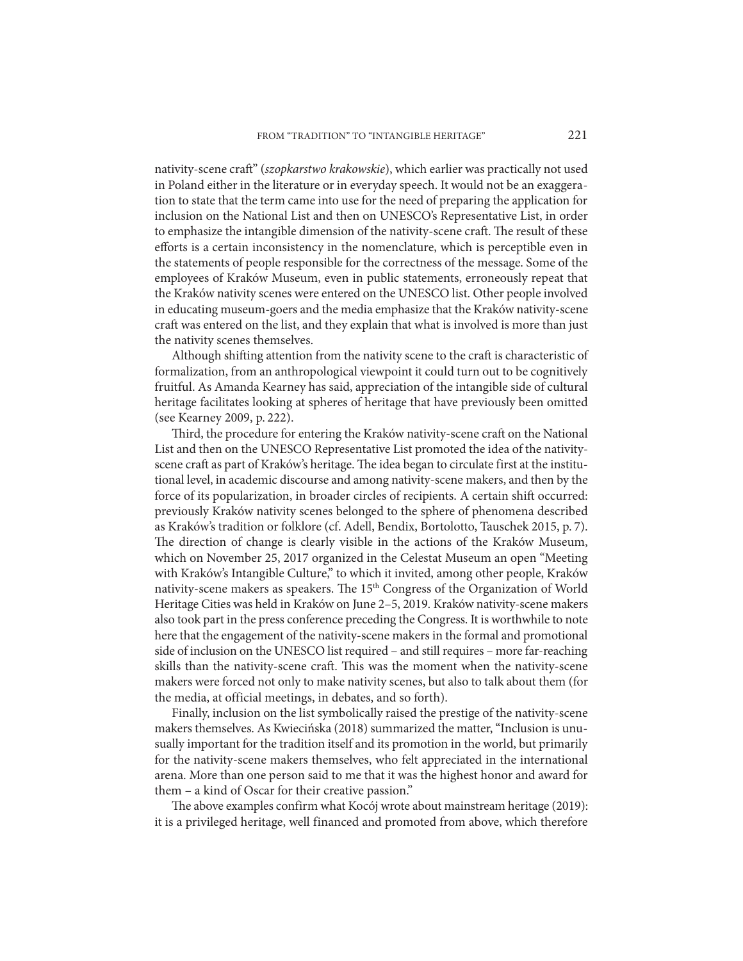nativity-scene craft" (*szopkarstwo krakowskie*), which earlier was practically not used in Poland either in the literature or in everyday speech. It would not be an exaggeration to state that the term came into use for the need of preparing the application for inclusion on the National List and then on UNESCO's Representative List, in order to emphasize the intangible dimension of the nativity-scene craft. The result of these efforts is a certain inconsistency in the nomenclature, which is perceptible even in the statements of people responsible for the correctness of the message. Some of the employees of Kraków Museum, even in public statements, erroneously repeat that the Kraków nativity scenes were entered on the UNESCO list. Other people involved in educating museum-goers and the media emphasize that the Kraków nativity-scene craft was entered on the list, and they explain that what is involved is more than just the nativity scenes themselves.

Although shifting attention from the nativity scene to the craft is characteristic of formalization, from an anthropological viewpoint it could turn out to be cognitively fruitful. As Amanda Kearney has said, appreciation of the intangible side of cultural heritage facilitates looking at spheres of heritage that have previously been omitted (see Kearney 2009, p. 222).

Third, the procedure for entering the Kraków nativity-scene craft on the National List and then on the UNESCO Representative List promoted the idea of the nativityscene craft as part of Kraków's heritage. The idea began to circulate first at the institutional level, in academic discourse and among nativity-scene makers, and then by the force of its popularization, in broader circles of recipients. A certain shift occurred: previously Kraków nativity scenes belonged to the sphere of phenomena described as Kraków's tradition or folklore (cf. Adell, Bendix, Bortolotto, Tauschek 2015, p. 7). The direction of change is clearly visible in the actions of the Kraków Museum, which on November 25, 2017 organized in the Celestat Museum an open "Meeting with Kraków's Intangible Culture," to which it invited, among other people, Kraków nativity-scene makers as speakers. The 15th Congress of the Organization of World Heritage Cities was held in Kraków on June 2–5, 2019. Kraków nativity-scene makers also took part in the press conference preceding the Congress. It is worthwhile to note here that the engagement of the nativity-scene makers in the formal and promotional side of inclusion on the UNESCO list required – and still requires – more far-reaching skills than the nativity-scene craft. This was the moment when the nativity-scene makers were forced not only to make nativity scenes, but also to talk about them (for the media, at official meetings, in debates, and so forth).

Finally, inclusion on the list symbolically raised the prestige of the nativity-scene makers themselves. As Kwiecińska (2018) summarized the matter, "Inclusion is unusually important for the tradition itself and its promotion in the world, but primarily for the nativity-scene makers themselves, who felt appreciated in the international arena. More than one person said to me that it was the highest honor and award for them – a kind of Oscar for their creative passion."

The above examples confirm what Kocój wrote about mainstream heritage (2019): it is a privileged heritage, well financed and promoted from above, which therefore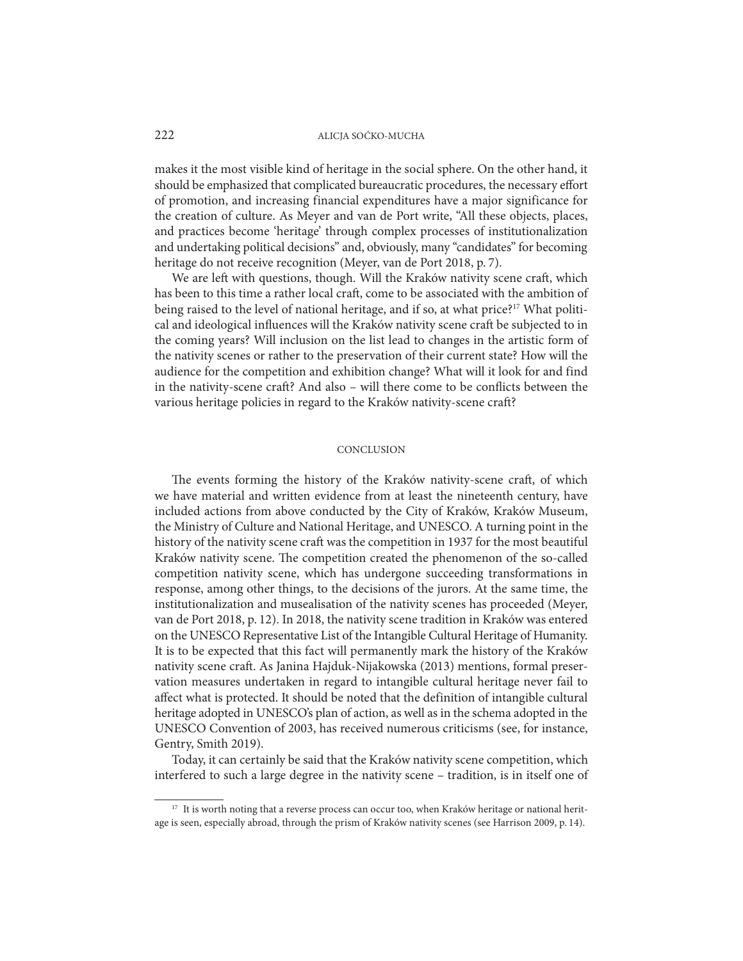makes it the most visible kind of heritage in the social sphere. On the other hand, it should be emphasized that complicated bureaucratic procedures, the necessary effort of promotion, and increasing financial expenditures have a major significance for the creation of culture. As Meyer and van de Port write, "All these objects, places, and practices become 'heritage' through complex processes of institutionalization and undertaking political decisions" and, obviously, many "candidates" for becoming heritage do not receive recognition (Meyer, van de Port 2018, p. 7).

We are left with questions, though. Will the Kraków nativity scene craft, which has been to this time a rather local craft, come to be associated with the ambition of being raised to the level of national heritage, and if so, at what price?<sup>17</sup> What political and ideological influences will the Kraków nativity scene craft be subjected to in the coming years? Will inclusion on the list lead to changes in the artistic form of the nativity scenes or rather to the preservation of their current state? How will the audience for the competition and exhibition change? What will it look for and find in the nativity-scene craft? And also – will there come to be conflicts between the various heritage policies in regard to the Kraków nativity-scene craft?

#### **CONCLUSION**

The events forming the history of the Kraków nativity-scene craft, of which we have material and written evidence from at least the nineteenth century, have included actions from above conducted by the City of Kraków, Kraków Museum, the Ministry of Culture and National Heritage, and UNESCO. A turning point in the history of the nativity scene craft was the competition in 1937 for the most beautiful Kraków nativity scene. The competition created the phenomenon of the so-called competition nativity scene, which has undergone succeeding transformations in response, among other things, to the decisions of the jurors. At the same time, the institutionalization and musealisation of the nativity scenes has proceeded (Meyer, van de Port 2018, p. 12). In 2018, the nativity scene tradition in Kraków was entered on the UNESCO Representative List of the Intangible Cultural Heritage of Humanity. It is to be expected that this fact will permanently mark the history of the Kraków nativity scene craft. As Janina Hajduk-Nijakowska (2013) mentions, formal preservation measures undertaken in regard to intangible cultural heritage never fail to affect what is protected. It should be noted that the definition of intangible cultural heritage adopted in UNESCO's plan of action, as well as in the schema adopted in the UNESCO Convention of 2003, has received numerous criticisms (see, for instance, Gentry, Smith 2019).

Today, it can certainly be said that the Kraków nativity scene competition, which interfered to such a large degree in the nativity scene – tradition, is in itself one of

<sup>&</sup>lt;sup>17</sup> It is worth noting that a reverse process can occur too, when Kraków heritage or national heritage is seen, especially abroad, through the prism of Kraków nativity scenes (see Harrison 2009, p. 14).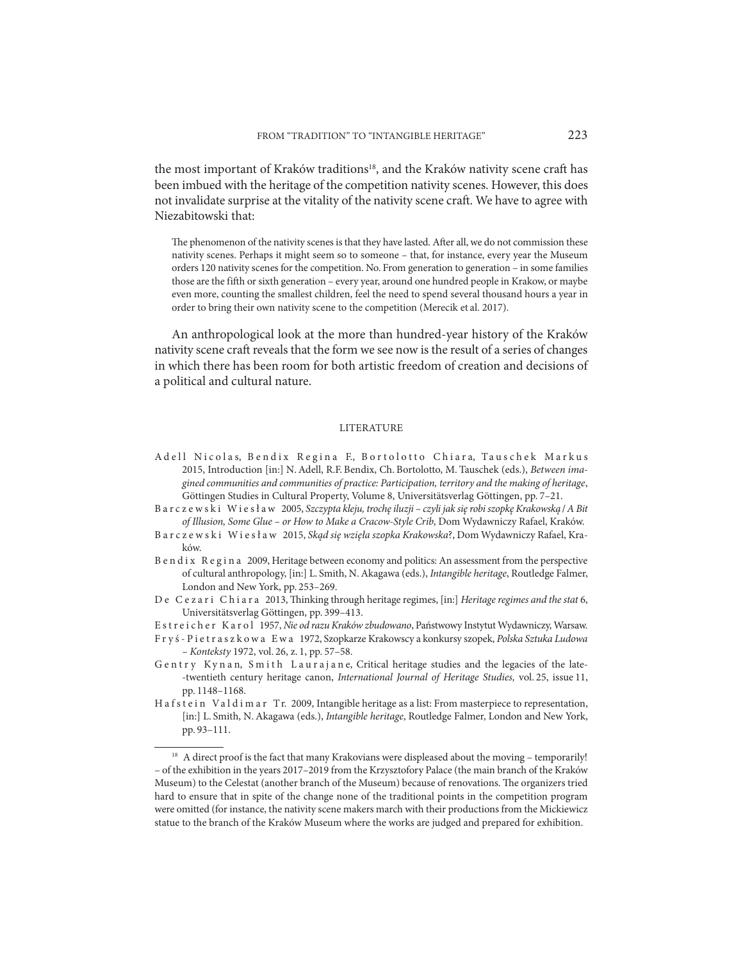the most important of Kraków traditions<sup>18</sup>, and the Kraków nativity scene craft has been imbued with the heritage of the competition nativity scenes. However, this does not invalidate surprise at the vitality of the nativity scene craft. We have to agree with Niezabitowski that:

The phenomenon of the nativity scenes is that they have lasted. After all, we do not commission these nativity scenes. Perhaps it might seem so to someone – that, for instance, every year the Museum orders 120 nativity scenes for the competition. No. From generation to generation – in some families those are the fifth or sixth generation – every year, around one hundred people in Krakow, or maybe even more, counting the smallest children, feel the need to spend several thousand hours a year in order to bring their own nativity scene to the competition (Merecik et al. 2017).

An anthropological look at the more than hundred-year history of the Kraków nativity scene craft reveals that the form we see now is the result of a series of changes in which there has been room for both artistic freedom of creation and decisions of a political and cultural nature.

#### LITERATURE

- A dell Nicolas, Bendix Regina F., Bortolotto Chiara, Tauschek Markus 2015, Introduction [in:] N. Adell, R.F. Bendix, Ch. Bortolotto, M. Tauschek (eds.), *Between imagined communities and communities of practice: Participation, territory and the making of heritage*, Göttingen Studies in Cultural Property, Volume 8, Universitätsverlag Göttingen, pp. 7–21.
- Barczewski Wiesław 2005, *Szczypta kleju, trochę iluzji czyli jak się robi szopkę Krakowską* / *A Bit of Illusion, Some Glue – or How to Make a Cracow-Style Crib*, Dom Wydawniczy Rafael, Kraków.
- Barczewski Wiesław 2015, *Skąd się wzięła szopka Krakowska*?, Dom Wydawniczy Rafael, Kraków.
- Bendix Regina 2009, Heritage between economy and politics: An assessment from the perspective of cultural anthropology, [in:] L. Smith, N. Akagawa (eds.), *Intangible heritage*, Routledge Falmer, London and New York, pp. 253–269.
- D e C e z a r i C h i a r a 2013, Thinking through heritage regimes, [in:] *Heritage regimes and the stat* 6, Universitätsverlag Göttingen, pp. 399–413.
- E s t r e i c h e r K a r o l 1957, *Nie od razu Kraków zbudowano*, Państwowy Instytut Wydawniczy, Warsaw.
- F r y ś P i e t r a s z k o w a E w a 1972, Szopkarze Krakowscy a konkursy szopek, *Polska Sztuka Ludowa – Konteksty* 1972, vol. 26, z. 1, pp. 57–58.
- Gentry Kynan, Smith Laurajane, Critical heritage studies and the legacies of the late--twentieth century heritage canon, *International Journal of Heritage Studies,* vol. 25, issue 11, pp. 1148–1168.
- H a f s t e i n V a l d i m a r T r. 2009, Intangible heritage as a list: From masterpiece to representation, [in:] L. Smith, N. Akagawa (eds.), *Intangible heritage*, Routledge Falmer, London and New York, pp. 93–111.

<sup>&</sup>lt;sup>18</sup> A direct proof is the fact that many Krakovians were displeased about the moving – temporarily! – of the exhibition in the years 2017–2019 from the Krzysztofory Palace (the main branch of the Kraków Museum) to the Celestat (another branch of the Museum) because of renovations. The organizers tried hard to ensure that in spite of the change none of the traditional points in the competition program were omitted (for instance, the nativity scene makers march with their productions from the Mickiewicz statue to the branch of the Kraków Museum where the works are judged and prepared for exhibition.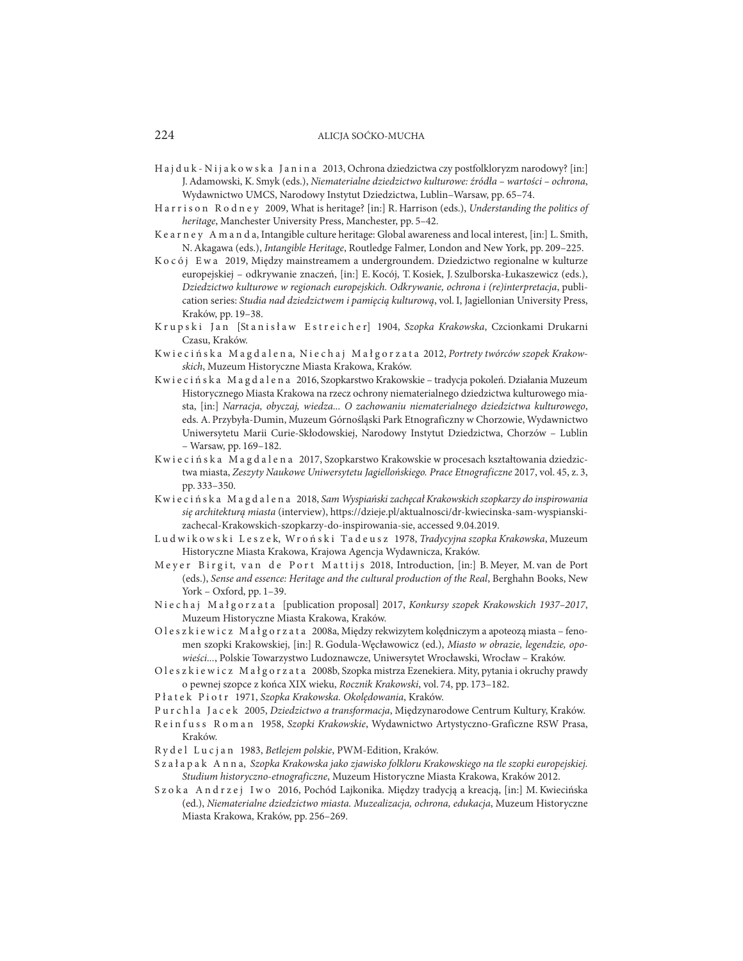- H a j d u k N i j a k o w s k a J a n i n a 2013, Ochrona dziedzictwa czy postfolkloryzm narodowy? [in:] J. Adamowski, K. Smyk (eds.), *Niematerialne dziedzictwo kulturowe: źródła – wartości – ochrona*, Wydawnictwo UMCS, Narodowy Instytut Dziedzictwa, Lublin–Warsaw, pp. 65–74.
- H a r r i s o n R o d n e y 2009, What is heritage? [in:] R. Harrison (eds.), *Understanding the politics of heritage*, Manchester University Press, Manchester, pp. 5–42.
- K e a r n e y A m a n d a, Intangible culture heritage: Global awareness and local interest, [in:] L. Smith, N. Akagawa (eds.), *Intangible Heritage*, Routledge Falmer, London and New York, pp. 209-225.
- K o c ó j E w a 2019, Między mainstreamem a undergroundem. Dziedzictwo regionalne w kulturze europejskiej – odkrywanie znaczeń, [in:] E. Kocój, T. Kosiek, J. Szulborska-Łukaszewicz (eds.), *Dziedzictwo kulturowe w regionach europejskich. Odkrywanie, ochrona i (re)interpretacja*, publication series: *Studia nad dziedzictwem i pamięcią kulturową*, vol. I, Jagiellonian University Press, Kraków, pp. 19–38.
- Krupski Jan [Stanisław Estreicher] 1904, *Szopka Krakowska*, Czcionkami Drukarni Czasu, Kraków.
- K w i e c i ń s k a M a g d a l e n a, N i e c h a j M a ł g o r z a t a 2012, *Portrety twórców szopek Krakowskich*, Muzeum Historyczne Miasta Krakowa, Kraków.
- Kw i e c i ń s k a M a g d a l e n a 2016, Szopkarstwo Krakowskie tradycja pokoleń. Działania Muzeum Historycznego Miasta Krakowa na rzecz ochrony niematerialnego dziedzictwa kulturowego miasta, [in:] *Narracja, obyczaj, wiedza... O zachowaniu niematerialnego dziedzictwa kulturowego*, eds. A. Przybyła-Dumin, Muzeum Górnośląski Park Etnograficzny w Chorzowie, Wydawnictwo Uniwersytetu Marii Curie-Skłodowskiej, Narodowy Instytut Dziedzictwa, Chorzów – Lublin – Warsaw, pp. 169–182.
- Kwie cińska Magdalena 2017, Szopkarstwo Krakowskie w procesach kształtowania dziedzictwa miasta, *Zeszyty Naukowe Uniwersytetu Jagiellońskiego. Prace Etnograficzne* 2017, vol. 45, z. 3, pp. 333–350.
- Kw i e c i ń s k a M a g d a l e n a 2018, *Sam Wyspiański zachęcał Krakowskich szopkarzy do inspirowania się architekturą miasta* (interview), https://dzieje.pl/aktualnosci/dr-kwiecinska-sam-wyspianskizachecal-Krakowskich-szopkarzy-do-inspirowania-sie, accessed 9.04.2019.
- L u d w i k o w s k i L e s z e k, Wr o ń s k i Ta d e u s z 1978, *Tradycyjna szopka Krakowska*, Muzeum Historyczne Miasta Krakowa, Krajowa Agencja Wydawnicza, Kraków.
- Meyer Birgit, van de Port Mattijs 2018, Introduction, [in:] B. Meyer, M. van de Port (eds.), *Sense and essence: Heritage and the cultural production of the Real*, Berghahn Books, New York – Oxford, pp. 1–39.
- N i e c h a j M a ł g o r z a t a [publication proposal] 2017, *Konkursy szopek Krakowskich 1937–2017*, Muzeum Historyczne Miasta Krakowa, Kraków.
- Oleszkiewicz Małgorzata 2008a, Między rekwizytem kolędniczym a apoteozą miasta fenomen szopki Krakowskiej, [in:] R. Godula-Węcławowicz (ed.), *Miasto w obrazie, legendzie, opowieści...*, Polskie Towarzystwo Ludoznawcze, Uniwersytet Wrocławski, Wrocław – Kraków.
- Oleszkiewicz Małgorzata 2008b, Szopka mistrza Ezenekiera. Mity, pytania i okruchy prawdy o pewnej szopce z końca XIX wieku, *Rocznik Krakowski*, vol. 74, pp. 173–182.
- P ł a t e k P i o t r 1971, *Szopka Krakowska. Okolędowania*, Kraków.
- P u r c h l a J a c e k 2005, *Dziedzictwo a transformacja*, Międzynarodowe Centrum Kultury, Kraków.
- Reinfuss Roman 1958, *Szopki Krakowskie*, Wydawnictwo Artystyczno-Graficzne RSW Prasa, Kraków.
- R y d e l L u c j a n 1983, *Betlejem polskie*, PWM-Edition, Kraków.
- S z a ł a p a k A n n a, *Szopka Krakowska jako zjawisko folkloru Krakowskiego na tle szopki europejskiej. Studium historyczno-etnograficzne*, Muzeum Historyczne Miasta Krakowa, Kraków 2012.
- Szoka Andrzej Iwo 2016, Pochód Lajkonika. Między tradycją a kreacją, [in:] M. Kwiecińska (ed.), *Niematerialne dziedzictwo miasta. Muzealizacja, ochrona, edukacja*, Muzeum Historyczne Miasta Krakowa, Kraków, pp. 256–269.